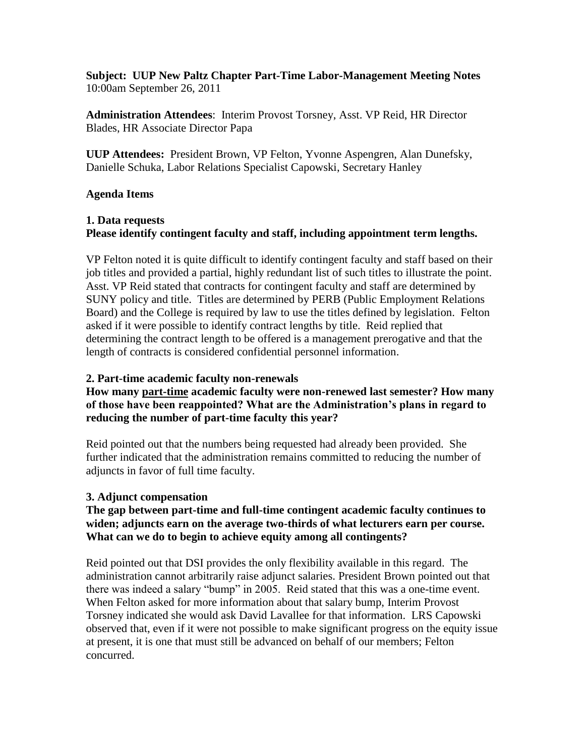**Subject: UUP New Paltz Chapter Part-Time Labor-Management Meeting Notes** 10:00am September 26, 2011

**Administration Attendees**: Interim Provost Torsney, Asst. VP Reid, HR Director Blades, HR Associate Director Papa

**UUP Attendees:** President Brown, VP Felton, Yvonne Aspengren, Alan Dunefsky, Danielle Schuka, Labor Relations Specialist Capowski, Secretary Hanley

#### **Agenda Items**

# **1. Data requests Please identify contingent faculty and staff, including appointment term lengths.**

VP Felton noted it is quite difficult to identify contingent faculty and staff based on their job titles and provided a partial, highly redundant list of such titles to illustrate the point. Asst. VP Reid stated that contracts for contingent faculty and staff are determined by SUNY policy and title. Titles are determined by PERB (Public Employment Relations Board) and the College is required by law to use the titles defined by legislation. Felton asked if it were possible to identify contract lengths by title. Reid replied that determining the contract length to be offered is a management prerogative and that the length of contracts is considered confidential personnel information.

#### **2. Part-time academic faculty non-renewals**

# **How many part-time academic faculty were non-renewed last semester? How many of those have been reappointed? What are the Administration's plans in regard to reducing the number of part-time faculty this year?**

Reid pointed out that the numbers being requested had already been provided. She further indicated that the administration remains committed to reducing the number of adjuncts in favor of full time faculty.

#### **3. Adjunct compensation**

### **The gap between part-time and full-time contingent academic faculty continues to widen; adjuncts earn on the average two-thirds of what lecturers earn per course. What can we do to begin to achieve equity among all contingents?**

Reid pointed out that DSI provides the only flexibility available in this regard. The administration cannot arbitrarily raise adjunct salaries. President Brown pointed out that there was indeed a salary "bump" in 2005. Reid stated that this was a one-time event. When Felton asked for more information about that salary bump, Interim Provost Torsney indicated she would ask David Lavallee for that information. LRS Capowski observed that, even if it were not possible to make significant progress on the equity issue at present, it is one that must still be advanced on behalf of our members; Felton concurred.